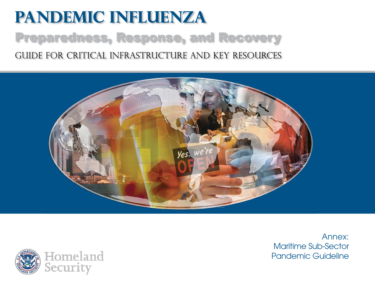# **Pandemic Influenza** Preparedness, Response, and Recovery Guide for critical infrastructure and key resources





Annex:Maritime Sub-SectorPandemic Guideline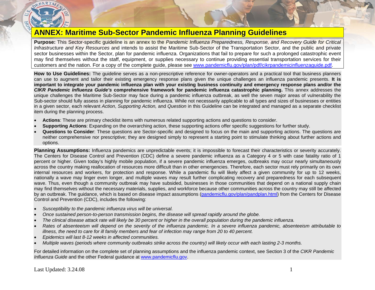

# **ANNEX: Maritime Sub-Sector Pandemic Influenza Planning Guidelines**

**Purpose:** This Sector-specific guideline is an annex to the *Pandemic Influenza Preparedness, Response, and Recovery Guide for Critical Infrastructure and Key Resources* and intends to assist the Maritime Sub-Sector of the Transportation Sector, and the public and private sector businesses within the Sector, plan for pandemic influenza. Organizations that fail to prepare for such a prolonged catastrophic event may find themselves without the staff, equipment, or supplies necessary to continue providing essential transportation services for their customers and the nation. For a copy of the complete guide, please see [www.pandemicflu.gov/plan/pdf/cikrpandemicinfluenzaguide.pdf](http://www.pandemicflu.gov/plan/pdf/cikrpandemicinfluenzaguide.pdf).

**How to Use Guidelines:** The guideline serves as a non-prescriptive reference for owner-operators and a practical tool that business planners can use to augment and tailor their existing emergency response plans given the unique challenges an influenza pandemic presents. **It is important to integrate your pandemic influenza plan with your existing business continuity and emergency response plans and/or the**  *CIKR Pandemic Influenza Guide's* **comprehensive framework for pandemic influenza catastrophic planning.** This annex addresses the unique challenges the Maritime Sub-Sector may face during a pandemic influenza outbreak, as well the seven major areas of vulnerability the Sub-sector should fully assess in planning for pandemic influenza. While not necessarily applicable to all types and sizes of businesses or entities in a given sector, each relevant *Action*, *Supporting Action,* and *Question* in this Guideline can be integrated and managed as a separate checklist item during the planning process.

- •**Actions**: These are primary checklist items with numerous related supporting actions and questions to consider.
- •**Supporting Actions**: Expanding on the overarching action, these supporting actions offer specific suggestions for further study.
- **Questions to Consider**: These questions are Sector-specific and designed to focus on the main and supporting actions. The questions are neither comprehensive nor prescriptive; they are designed simply to represent a starting point to stimulate thinking about further actions and options.

**Planning Assumptions:** Influenza pandemics are unpredictable events; it is impossible to forecast their characteristics or severity accurately. The Centers for Disease Control and Prevention (CDC) define a severe pandemic influenza as a Category 4 or 5 with case fatality ratio of 1 percent or higher. Given today's highly mobile population, if a severe pandemic influenza emerges, outbreaks may occur nearly simultaneously across the country making reallocation of resources more difficult than in other emergencies. Therefore, each sector must rely primarily on its own internal resources and workers, for protection and response. While a pandemic flu will likely affect a given community for up to 12 weeks, nationally a wave may linger even longer, and multiple waves may result further complicating recovery and preparedness for each subsequent wave. Thus, even though a community outbreak may have subsided, businesses in those communities that depend on a national supply chain may find themselves without the necessary materials, supplies, and workforce because other communities across the country may still be affected by an outbreak. The guidance, which is based on disease impact assumptions ([pandemicflu.gov/plan/pandplan.html](http://pandemicflu.gov/plan/pandplan.html)) from the Centers for Disease Control and Prevention (CDC), includes the following:

- •*Susceptibility to the pandemic influenza virus will be universal.*
- •*Once sustained person-to-person transmission begins, the disease will spread rapidly around the globe.*
- •*The clinical disease attack rate will likely be 30 percent or higher in the overall population during the pandemic influenza.*
- • *Rates of absenteeism will depend on the severity of the influenza pandemic. In a severe influenza pandemic, absenteeism attributable to illness, the need to care for ill family members and fear of infection may range from 20 to 40 percent.*
- •*Epidemics will last 8-12 weeks in affected communities.*
- •*Multiple waves (periods where community outbreaks strike across the country) will likely occur with each lasting 2-3 months.*

For detailed information on the complete set of planning assumptions and the influenza pandemic context, see Section 3 of the *CIKR Pandemic Influenza Guide* and the other Federal guidance at [www.pandemicflu.gov](http://www.pandemicflu.gov/).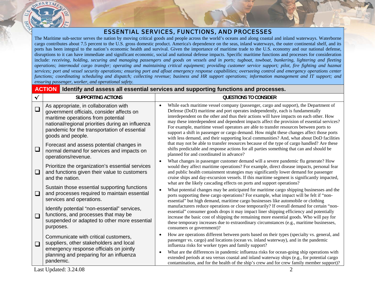

#### ESSENTIAL SERVICES, FUNCTIONS, AND PROCESSES

The Maritime sub-sector serves the nation by moving critical goods and people across the world's oceans and along coastal and inland waterways. Waterborne cargo contributes about 7.5 percent to the U.S. gross domestic product. America's dependence on the seas, inland waterways, the outer continental shelf, and its ports has been integral to the nation's economic health and survival. Given the importance of maritime trade to the U.S. economy and our national defense, disruptions to it can have immediate and significant economic, social and national defense impacts. Specific maritime functions and processes for consideration include: *receiving, holding, securing and managing passengers and goods on vessels and in ports; tugboat, towboat, bunkering, lightering and fleeting operations; intermodal cargo transfer; operating and maintaining critical equipment; providing customer service support; pilot, fire fighting and hazmat services; port and vessel security operations; ensuring port and afloat emergency response capabilities; overseeing control and emergency operations center*  functions; coordinating scheduling and dispatch; collecting revenue; business and HR support operations; information management and IT support; and *ensuring passenger, worker, and operational safety.*

#### **ACTION Identify and assess all essential services and supporting functions and processes.**

| ᄿ      | <b>SUPPORTING ACTIONS</b>                                                                                                                                                                                                                         | <b>QUESTIONS TO CONSIDER</b>                                                                                                                                                                                                                                                                                                                                                                                                                                                                                                                                                                                                                     |
|--------|---------------------------------------------------------------------------------------------------------------------------------------------------------------------------------------------------------------------------------------------------|--------------------------------------------------------------------------------------------------------------------------------------------------------------------------------------------------------------------------------------------------------------------------------------------------------------------------------------------------------------------------------------------------------------------------------------------------------------------------------------------------------------------------------------------------------------------------------------------------------------------------------------------------|
| $\Box$ | As appropriate, in collaboration with<br>government officials, consider affects on<br>maritime operations from potential<br>national/regional priorities during an influenza<br>pandemic for the transportation of essential<br>goods and people. | While each maritime vessel company (passenger, cargo and support), the Department of<br>Defense (DoD) maritime and port operates independently, each is fundamentally<br>interdependent on the other and thus their actions will have impacts on each other. How<br>may these interdependent and dependent impacts affect the provision of essential services?<br>For example, maritime vessel operators are able to transfer resources between ports to<br>support a shift in passenger or cargo demand. How might these changes affect those ports<br>with less demand, and their supporting local communities? And, what about DoD facilities |
| $\Box$ | Forecast and assess potential changes in<br>normal demand for services and impacts on<br>operations/revenue.                                                                                                                                      | that may not be able to transfer resources because of the type of cargo handled? Are these<br>shifts predictable and response actions for all parties something that can and should be<br>planned for and coordinated in advance?                                                                                                                                                                                                                                                                                                                                                                                                                |
| $\Box$ | Prioritize the organization's essential services<br>and functions given their value to customers<br>and the nation.                                                                                                                               | What changes in passenger customer demand will a severe pandemic flu generate? How<br>would they affect maritime operations? For example, direct disease impacts, personal fear<br>and public health containment strategies may significantly lower demand for passenger<br>cruise ships and day-excursion vessels. If this maritime segment is significantly impacted,<br>what are the likely cascading effects on ports and support operations?                                                                                                                                                                                                |
| $\Box$ | Sustain those essential supporting functions<br>and processes required to maintain essential<br>services and operations.                                                                                                                          | What potential changes may be anticipated for maritime cargo shipping businesses and the<br>ports supporting these cargo operations? For example, what impact will be felt if "non-<br>essential" but high demand, maritime cargo businesses like automobile or clothing                                                                                                                                                                                                                                                                                                                                                                         |
| $\Box$ | Identify potential "non-essential" services,<br>functions, and processes that may be<br>suspended or adapted to other more essential<br>purposes.                                                                                                 | manufacturers reduce operations or close temporarily? If overall demand for certain "non-<br>essential" consumer goods drops it may impact liner shipping efficiency and potentially<br>increase the basic cost of shipping the remaining more essential goods. Who will pay for<br>these temporary increases due to extraordinary circumstances (e.g., maritime businesses,<br>consumers or government)?                                                                                                                                                                                                                                        |
| $\Box$ | Communicate with critical customers,<br>suppliers, other stakeholders and local<br>emergency response officials on jointly                                                                                                                        | How are operations different between ports based on their types (specialty vs. general, and<br>passenger vs. cargo) and locations (ocean vs. inland waterway), and in the pandemic<br>influenza risks for worker types and family support?                                                                                                                                                                                                                                                                                                                                                                                                       |
|        | planning and preparing for an influenza<br>pandemic.                                                                                                                                                                                              | What are the differences in pandemic influenza risks for ocean-going ship operations with<br>extended periods at sea versus coastal and inland waterway ships (e.g., for potential cargo<br>contamination, and for the health of the ship's crew and for crew family member support)?                                                                                                                                                                                                                                                                                                                                                            |

Last Updated: 3.24.08 2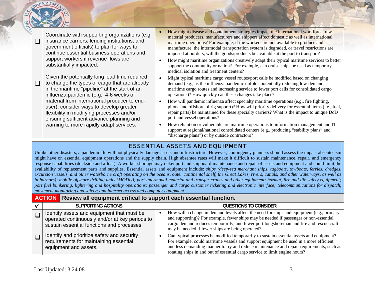$\Box$ Coordinate with supporting organizations (e.g. insurance carriers, lending institutions, and government officials) to plan for ways to continue essential business operations and support workers if revenue flows are substantially impacted.

Given the potentially long lead time required to change the types of cargo that are already in the maritime "pipeline" at the start of an influenza pandemic (e.g., 4-6 weeks of material from international producer to enduser), consider ways to develop greater flexibility in modifying processes and/or ensuring sufficient advance planning and warning to more rapidly adapt services.

- • How might disease and containment strategies impact the international workforce, raw material producers, manufacturers and shippers affect domestic as well as international maritime operations? For example, if the workers are not available to produce and manufacture, the intermodal transportation system is degraded, or travel restrictions are imposed at borders, will the goods/products be available at the port to transport?
- • How might maritime organizations creatively adapt their typical maritime services to better support the community or nation? For example, can cruise ships be used as temporary medical isolation and treatment centers?
- • Might typical maritime cargo vessel routes/port calls be modified based on changing demand (e.g., as the influenza pandemic unfolds potentially reducing low-demand maritime cargo routes and increasing service to fewer port calls for consolidated cargo operations)? How quickly can these changes take place?
- How will pandemic influenza affect specialty maritime operations (e.g., fire fighting, pilots, and offshore oilrig support)? How will priority delivery for essential items (i.e., fuel, repair parts) be maintained for these specialty carriers? What is the impact to unique DoD port and vessel operations?
- • How reliant on or vulnerable are maritime operations to information management and IT support at regional/national consolidated centers (e.g., producing "stability plans" and "discharge plans") or by outside contractors?

## ESSENTIAL ASSETS AND EQUIPMENT

Unlike other disasters, a pandemic flu will not physically damage assets and infrastructure. However, contingency planners should assess the impact absenteeism might have on essential equipment operations and the supply chain. High absentee rates will make it difficult to sustain maintenance, repair, and emergency response capabilities (dockside and afloat). A worker shortage may delay port and shipboard maintenance and repair of assets and equipment and could limit the availability of replacement parts and supplies. Essential assets and equipment include: *ships (deep-sea merchant ships, tugboats, towboats, ferries, dredges, excursion vessels, and other waterborne craft operating on the oceans, outer continental shelf, the Great Lakes, rivers, canals, and other waterways, as well as in harbors); mobile offshore drilling units (MODU); port intermodal material and transfer cranes and other equipment; hazmat, fire and life safety equipment; port fuel bunkering, lightering and hospitality operations; passenger and cargo customer ticketing and electronic interface; telecommunications for dispatch, movement monitoring and safety; and internet access and computer equipment.*

| <b>ACTION</b> Review all equipment critical to support each essential function. |                                                                                                                                            |                                                                                                                                                                                                                                                                                                                                                              |
|---------------------------------------------------------------------------------|--------------------------------------------------------------------------------------------------------------------------------------------|--------------------------------------------------------------------------------------------------------------------------------------------------------------------------------------------------------------------------------------------------------------------------------------------------------------------------------------------------------------|
|                                                                                 | <b>SUPPORTING ACTIONS</b>                                                                                                                  | QUESTIONS TO CONSIDER                                                                                                                                                                                                                                                                                                                                        |
|                                                                                 | Identify assets and equipment that must be<br>operated continuously and/or at key periods to<br>sustain essential functions and processes. | How will a change in demand levels affect the need for ships and equipment (e.g., primary<br>and supporting)? For example, fewer ships may be needed if passenger or non-essential<br>cargo demand reduces temporarily, and fewer port longshoreman and fire and rescue craft<br>may be needed if fewer ships are being operated?                            |
|                                                                                 | Identify and prioritize safety and security<br>requirements for maintaining essential<br>equipment and assets.                             | Can typical processes be modified temporarily to sustain essential assets and equipment?<br>For example, could maritime vessels and support equipment be used in a more efficient<br>and less demanding manner to try and reduce maintenance and repair requirements; such as<br>rotating ships in and out of essential cargo service to limit engine hours? |

 $\Box$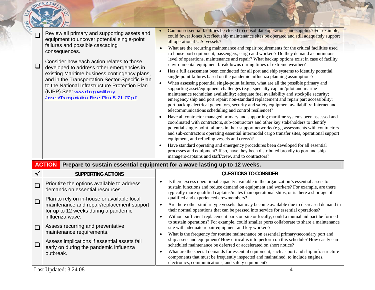| Can non-essential facilities be closed to consolidate operations and supplies? For example,<br>Review all primary and supporting assets and<br>$\Box$<br>could fewer Jones Act fleet ship maintenance sites be operated and still adequately support<br>equipment to uncover potential single-point<br>all operational U.S. vessels?<br>failures and possible cascading<br>What are the recurring maintenance and repair requirements for the critical facilities used<br>consequences.<br>to house port equipment, passengers, cargo and workers? Do they demand a continuous<br>level of operations, maintenance and repair? What backup options exist in case of facility<br>Consider how each action relates to those<br>environmental equipment breakdowns during times of extreme weather?<br>$\Box$<br>developed to address other emergencies in<br>Has a full assessment been conducted for all port and ship systems to identify potential<br>existing Maritime business contingency plans,<br>single-point failures based on the pandemic influenza planning assumptions?<br>and in the Transportation Sector-Specific Plan<br>When assessing potential single-point failures, what are all the possible primary and<br>to the National Infrastructure Protection Plan<br>supporting asset/equipment challenges (e.g., specialty captain/pilot and marine<br>(NIPP).See: www.dhs.gov/xlibrary<br>maintenance technician availability; adequate fuel availability and stockpile security;<br>/assets/Transportation Base Plan 5 21 07.pdf.<br>emergency ship and port repair; non-standard replacement and repair part accessibility;<br>port backup electrical generators, security and safety equipment availability; Internet and<br>telecommunications scheduling and control resilience)?<br>Have all contractor managed primary and supporting maritime systems been assessed and<br>coordinated with contractors, sub-contractors and other key stakeholders to identify<br>potential single-point failures in their support networks (e.g., assessments with contractors<br>and sub-contractors operating essential intermodal cargo transfer sites, operational support<br>equipment, and refueling vessels and crews)?<br>Have standard operating and emergency procedures been developed for all essential<br>processes and equipment? If so, have they been distributed broadly to port and ship<br>managers/captains and staff/crew, and to contractors?<br><b>ACTION</b><br>Prepare to sustain essential equipment for a wave lasting up to 12 weeks.<br><b>QUESTIONS TO CONSIDER</b><br>✔<br><b>SUPPORTING ACTIONS</b><br>Is there excess operational capacity available in the organization's essential assets to<br>Prioritize the options available to address<br>$\Box$<br>sustain functions and reduce demand on equipment and workers? For example, are there<br>demands on essential resources.<br>typically more qualified captains/mates than operational ships, or is there a shortage of<br>qualified and experienced crewmembers?<br>Plan to rely on in-house or available local<br>$\Box$<br>Are there other similar type vessels that may become available due to decreased demand in<br>maintenance and repair/replacement support<br>their normal operations that can be pressed into service for essential operations?<br>for up to 12 weeks during a pandemic<br>Without sufficient replacement parts on-site or locally, could a mutual aid pact be formed<br>influenza wave.<br>to sustain operations? For example, could smaller ports collaborate to share a maintenance<br>Assess recurring and preventative<br>$\Box$<br>site with adequate repair equipment and key workers?<br>maintenance requirements.<br>What is the frequency for routine maintenance on essential primary/secondary port and<br>$\bullet$<br>ship assets and equipment? How critical is it to perform on this schedule? How easily can<br>Assess implications if essential assets fail<br>$\Box$<br>scheduled maintenance be deferred or accelerated on short notice?<br>early on during the pandemic influenza | DEPARTM |                                                                                            |  |  |  |  |  |
|----------------------------------------------------------------------------------------------------------------------------------------------------------------------------------------------------------------------------------------------------------------------------------------------------------------------------------------------------------------------------------------------------------------------------------------------------------------------------------------------------------------------------------------------------------------------------------------------------------------------------------------------------------------------------------------------------------------------------------------------------------------------------------------------------------------------------------------------------------------------------------------------------------------------------------------------------------------------------------------------------------------------------------------------------------------------------------------------------------------------------------------------------------------------------------------------------------------------------------------------------------------------------------------------------------------------------------------------------------------------------------------------------------------------------------------------------------------------------------------------------------------------------------------------------------------------------------------------------------------------------------------------------------------------------------------------------------------------------------------------------------------------------------------------------------------------------------------------------------------------------------------------------------------------------------------------------------------------------------------------------------------------------------------------------------------------------------------------------------------------------------------------------------------------------------------------------------------------------------------------------------------------------------------------------------------------------------------------------------------------------------------------------------------------------------------------------------------------------------------------------------------------------------------------------------------------------------------------------------------------------------------------------------------------------------------------------------------------------------------------------------------------------------------------------------------------------------------------------------------------------------------------------------------------------------------------------------------------------------------------------------------------------------------------------------------------------------------------------------------------------------------------------------------------------------------------------------------------------------------------------------------------------------------------------------------------------------------------------------------------------------------------------------------------------------------------------------------------------------------------------------------------------------------------------------------------------------------------------------------------------------------------------------------------------------------------------------------------------------------------------------------------------------------------------------------------------------------------------------------------------------------------------------------------------------------------------------------------------------------------------------------------------------------------------------------------------------------------------------------------------------------|---------|--------------------------------------------------------------------------------------------|--|--|--|--|--|
|                                                                                                                                                                                                                                                                                                                                                                                                                                                                                                                                                                                                                                                                                                                                                                                                                                                                                                                                                                                                                                                                                                                                                                                                                                                                                                                                                                                                                                                                                                                                                                                                                                                                                                                                                                                                                                                                                                                                                                                                                                                                                                                                                                                                                                                                                                                                                                                                                                                                                                                                                                                                                                                                                                                                                                                                                                                                                                                                                                                                                                                                                                                                                                                                                                                                                                                                                                                                                                                                                                                                                                                                                                                                                                                                                                                                                                                                                                                                                                                                                                                                                                                                        |         |                                                                                            |  |  |  |  |  |
|                                                                                                                                                                                                                                                                                                                                                                                                                                                                                                                                                                                                                                                                                                                                                                                                                                                                                                                                                                                                                                                                                                                                                                                                                                                                                                                                                                                                                                                                                                                                                                                                                                                                                                                                                                                                                                                                                                                                                                                                                                                                                                                                                                                                                                                                                                                                                                                                                                                                                                                                                                                                                                                                                                                                                                                                                                                                                                                                                                                                                                                                                                                                                                                                                                                                                                                                                                                                                                                                                                                                                                                                                                                                                                                                                                                                                                                                                                                                                                                                                                                                                                                                        |         |                                                                                            |  |  |  |  |  |
|                                                                                                                                                                                                                                                                                                                                                                                                                                                                                                                                                                                                                                                                                                                                                                                                                                                                                                                                                                                                                                                                                                                                                                                                                                                                                                                                                                                                                                                                                                                                                                                                                                                                                                                                                                                                                                                                                                                                                                                                                                                                                                                                                                                                                                                                                                                                                                                                                                                                                                                                                                                                                                                                                                                                                                                                                                                                                                                                                                                                                                                                                                                                                                                                                                                                                                                                                                                                                                                                                                                                                                                                                                                                                                                                                                                                                                                                                                                                                                                                                                                                                                                                        |         |                                                                                            |  |  |  |  |  |
|                                                                                                                                                                                                                                                                                                                                                                                                                                                                                                                                                                                                                                                                                                                                                                                                                                                                                                                                                                                                                                                                                                                                                                                                                                                                                                                                                                                                                                                                                                                                                                                                                                                                                                                                                                                                                                                                                                                                                                                                                                                                                                                                                                                                                                                                                                                                                                                                                                                                                                                                                                                                                                                                                                                                                                                                                                                                                                                                                                                                                                                                                                                                                                                                                                                                                                                                                                                                                                                                                                                                                                                                                                                                                                                                                                                                                                                                                                                                                                                                                                                                                                                                        |         |                                                                                            |  |  |  |  |  |
|                                                                                                                                                                                                                                                                                                                                                                                                                                                                                                                                                                                                                                                                                                                                                                                                                                                                                                                                                                                                                                                                                                                                                                                                                                                                                                                                                                                                                                                                                                                                                                                                                                                                                                                                                                                                                                                                                                                                                                                                                                                                                                                                                                                                                                                                                                                                                                                                                                                                                                                                                                                                                                                                                                                                                                                                                                                                                                                                                                                                                                                                                                                                                                                                                                                                                                                                                                                                                                                                                                                                                                                                                                                                                                                                                                                                                                                                                                                                                                                                                                                                                                                                        |         |                                                                                            |  |  |  |  |  |
| $\bullet$<br>outbreak.                                                                                                                                                                                                                                                                                                                                                                                                                                                                                                                                                                                                                                                                                                                                                                                                                                                                                                                                                                                                                                                                                                                                                                                                                                                                                                                                                                                                                                                                                                                                                                                                                                                                                                                                                                                                                                                                                                                                                                                                                                                                                                                                                                                                                                                                                                                                                                                                                                                                                                                                                                                                                                                                                                                                                                                                                                                                                                                                                                                                                                                                                                                                                                                                                                                                                                                                                                                                                                                                                                                                                                                                                                                                                                                                                                                                                                                                                                                                                                                                                                                                                                                 |         | What are the special demands for essential equipment, such as port and ship infrastructure |  |  |  |  |  |

components that must be frequently inspected and maintained, to include engines,

electronics, communications, and safety equipment?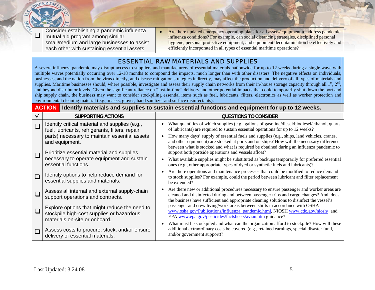$\Box$  Consider establishing a pandemic influenza mutual aid program among similar small/medium and large businesses to assist each other with sustaining essential assets.

•Are there updated emergency operating plans for all assets/equipment to address pandemic influenza conditions? For example, can social distancing strategies, disciplined personal hygiene, personal protective equipment, and equipment decontamination be effectively and efficiently incorporated in all types of essential maritime operations?

### ESSENTIAL RAW MATERIALS AND SUPPLIES

A severe influenza pandemic may disrupt access to suppliers and manufacturers of essential materials nationwide for up to 12 weeks during a single wave with multiple waves potentially occurring over 12-18 months to compound the impacts, much longer than with other disasters. The negative effects on individuals, businesses, and the nation from the virus directly, and disease mitigation strategies indirectly, may affect the production and delivery of all types of materials and supplies. Maritime businesses should, where possible, investigate and assess their supply chain networks from their in-house storage capacity through all  $1<sup>st</sup>$ ,  $2<sup>nd</sup>$ , and beyond distributor levels. Given the significant reliance on "just-in-time" delivery and other potential impacts that could temporarily shut down the port and ship supply chain, the business may want to consider stockpiling essential items such as fuel, lubricants, filters, electronics as well as worker protection and environmental cleaning material (e.g., masks, gloves, hand sanitizer and surface disinfectants).

|        | <b>ACTION</b> Identify materials and supplies to sustain essential functions and equipment for up to 12 weeks.              |                                                                                                                                                                                                                                                                                                                                             |  |  |
|--------|-----------------------------------------------------------------------------------------------------------------------------|---------------------------------------------------------------------------------------------------------------------------------------------------------------------------------------------------------------------------------------------------------------------------------------------------------------------------------------------|--|--|
|        | <b>SUPPORTING ACTIONS</b>                                                                                                   | QUESTIONS TO CONSIDER                                                                                                                                                                                                                                                                                                                       |  |  |
| $\Box$ | Identify critical material and supplies (e.g.,<br>fuel, lubricants, refrigerants, filters, repair                           | What quantities of which supplies (e.g., gallons of gasoline/diesel/biodiesel/ethanol, quarts<br>of lubricants) are required to sustain essential operations for up to 12 weeks?                                                                                                                                                            |  |  |
| $\Box$ | parts) necessary to maintain essential assets<br>and equipment.<br>Prioritize essential material and supplies               | How many days' supply of essential fuels and supplies (e.g., ships, land vehicles, cranes,<br>and other equipment) are stocked at ports and on ships? How will the necessary difference<br>between what is stocked and what is required be obtained during an influenza pandemic to<br>support both portside operations and vessels afloat? |  |  |
|        | necessary to operate equipment and sustain<br>essential functions.                                                          | What available supplies might be substituted as backups temporarily for preferred essential<br>ones (e.g., other appropriate types of dyed or synthetic fuels and lubricants)?                                                                                                                                                              |  |  |
| $\Box$ | Identify options to help reduce demand for<br>essential supplies and materials.                                             | Are there operations and maintenance processes that could be modified to reduce demand<br>to stock supplies? For example, could the period between lubricant and filter replacement<br>be extended?                                                                                                                                         |  |  |
| $\Box$ | Assess all internal and external supply-chain<br>support operations and contracts.                                          | Are there new or additional procedures necessary to ensure passenger and worker areas are<br>cleaned and disinfected during and between passenger trips and cargo changes? And, does<br>the business have sufficient and appropriate cleaning solutions to disinfect the vessel's                                                           |  |  |
| $\Box$ | Explore options that might reduce the need to<br>stockpile high-cost supplies or hazardous<br>materials on-site or onboard. | passenger and crew living/work areas between shifts in accordance with OSHA<br>www.osha.gov/Publications/influenza_pandemic.html, NIOSH www.cdc.gov/niosh/ and<br>EPA www.epa.gov/pesticides/factsheets/avian.htm guidance?                                                                                                                 |  |  |
| $\Box$ | Assess costs to procure, stock, and/or ensure<br>delivery of essential materials.                                           | What must be stockpiled and what can the organization afford to stockpile? How will these<br>additional extraordinary costs be covered (e.g., retained earnings, special disaster fund,<br>and/or government support)?                                                                                                                      |  |  |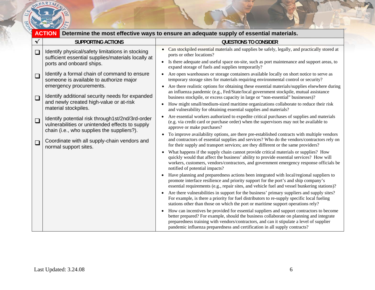

|        |                                                                                                                                                   | <b>ACTION</b> Determine the most effective ways to ensure an adequate supply of essential materials.                                                                                                                                                                                                                                                                       |
|--------|---------------------------------------------------------------------------------------------------------------------------------------------------|----------------------------------------------------------------------------------------------------------------------------------------------------------------------------------------------------------------------------------------------------------------------------------------------------------------------------------------------------------------------------|
|        | <b>SUPPORTING ACTIONS</b>                                                                                                                         | <b>QUESTIONS TO CONSIDER</b>                                                                                                                                                                                                                                                                                                                                               |
| $\Box$ | Identify physical/safety limitations in stocking<br>sufficient essential supplies/materials locally at<br>ports and onboard ships.                | Can stockpiled essential materials and supplies be safely, legally, and practically stored at<br>$\bullet$<br>ports or other locations?<br>• Is there adequate and useful space on-site, such as port maintenance and support areas, to<br>expand storage of fuels and supplies temporarily?                                                                               |
| $\Box$ | Identify a formal chain of command to ensure<br>someone is available to authorize major                                                           | Are open warehouses or storage containers available locally on short notice to serve as<br>temporary storage sites for materials requiring environmental control or security?                                                                                                                                                                                              |
| $\Box$ | emergency procurements.<br>Identify additional security needs for expanded                                                                        | Are there realistic options for obtaining these essential materials/supplies elsewhere during<br>$\bullet$<br>an influenza pandemic (e.g., Fed/State/local government stockpile, mutual assistance<br>business stockpile, or excess capacity in large or "non-essential" businesses)?                                                                                      |
|        | and newly created high-value or at-risk<br>material stockpiles.                                                                                   | How might small/medium-sized maritime organizations collaborate to reduce their risk<br>and vulnerability for obtaining essential supplies and materials?                                                                                                                                                                                                                  |
| $\Box$ | Identify potential risk through1st/2nd/3rd-order<br>vulnerabilities or unintended effects to supply<br>chain (i.e., who supplies the suppliers?). | Are essential workers authorized to expedite critical purchases of supplies and materials<br>$\bullet$<br>(e.g. via credit card or purchase order) when the supervisors may not be available to<br>approve or make purchases?                                                                                                                                              |
| $\Box$ | Coordinate with all supply-chain vendors and<br>normal support sites.                                                                             | To improve availability options, are there pre-established contracts with multiple vendors<br>$\bullet$<br>and contractors of essential supplies and services? Who do the vendors/contractors rely on<br>for their supply and transport services; are they different or the same providers?                                                                                |
|        |                                                                                                                                                   | What happens if the supply chain cannot provide critical materials or supplies? How<br>$\bullet$<br>quickly would that affect the business' ability to provide essential services? How will<br>workers, customers, vendors/contractors, and government emergency response officials be<br>notified of potential impacts?                                                   |
|        |                                                                                                                                                   | Have planning and preparedness actions been integrated with local/regional suppliers to<br>promote interface resilience and priority support for the port's and ship company's<br>essential requirements (e.g., repair sites, and vehicle fuel and vessel bunkering stations)?                                                                                             |
|        |                                                                                                                                                   | Are there vulnerabilities in support for the business' primary suppliers and supply sites?<br>$\bullet$<br>For example, is there a priority for fuel distributors to re-supply specific local fueling<br>stations other than those on which the port or maritime support operations rely?                                                                                  |
|        |                                                                                                                                                   | How can incentives be provided for essential suppliers and support contractors to become<br>$\bullet$<br>better prepared? For example, should the business collaborate on planning and integrate<br>preparedness training with vendors/contractors, and can it stipulate a level of supplier<br>pandemic influenza preparedness and certification in all supply contracts? |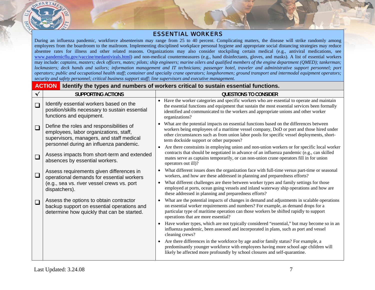

#### ESSENTIAL WORKERS

During an influenza pandemic, workforce absenteeism may range from 25 to 40 percent. Complicating matters, the disease will strike randomly among employees from the boardroom to the mailroom. Implementing disciplined workplace personal hygiene and appropriate social distancing strategies may reduce absentee rates for illness and other related reasons. Organizations may also consider stockpiling certain medical (e.g., antiviral medications, see www.pan[demicflu.gov/vaccine/medantivirals.html](http://www.pandemicflu.gov/vaccine/medantivirals.html)) and non-medical countermeasures (e.g., hand disinfectants, gloves, and masks). A list of essential workers may include: *captains, masters; deck officers, mates; pilots; ship engineers; marine oilers and qualified members of the engine department (QMED); tankerman; lockmasters; deck hands and sailors; information management and IT technicians; passenger hotel, traveler and administrative support personnel; port operators; public and occupational health staff; container and specialty crane operators; longshoremen; ground transport and intermodal equipment operators; security and safety personnel; critical business support staff; line supervisors and executive management.*

|              | <b>ACTION</b><br>Identify the types and numbers of workers critical to sustain essential functions.                                 |           |                                                                                                                                                                                                                                                                                                                               |  |
|--------------|-------------------------------------------------------------------------------------------------------------------------------------|-----------|-------------------------------------------------------------------------------------------------------------------------------------------------------------------------------------------------------------------------------------------------------------------------------------------------------------------------------|--|
| $\checkmark$ | <b>SUPPORTING ACTIONS</b>                                                                                                           |           | <b>QUESTIONS TO CONSIDER</b>                                                                                                                                                                                                                                                                                                  |  |
| $\square$    | Identify essential workers based on the<br>position/skills necessary to sustain essential<br>functions and equipment.               |           | • Have the worker categories and specific workers who are essential to operate and maintain<br>the essential functions and equipment that sustain the most essential services been formally<br>identified and communicated to the workers and appropriate unions and other worker<br>organizations?                           |  |
| $\Box$       | Define the roles and responsibilities of<br>employees, labor organizations, staff,<br>supervisors, managers, and staff medical      |           | • What are the potential impacts on essential functions based on the differences between<br>workers being employees of a maritime vessel company, DoD or port and those hired under<br>other circumstances such as from union labor pools for specific vessel deployments, short-<br>term dockside support or other purposes? |  |
| $\Box$       | personnel during an influenza pandemic.<br>Assess impacts from short-term and extended<br>absences by essential workers.            | $\bullet$ | Are there constraints in employing union and non-union workers or for specific local worker<br>contracts that should be negotiated in advance of an influenza pandemic (e.g., can skilled<br>mates serve as captains temporarily, or can non-union crane operators fill in for union<br>operators out ill)?                   |  |
| $\Box$       | Assess requirements given differences in<br>operational demands for essential workers                                               | $\bullet$ | What different issues does the organization face with full-time versus part-time or seasonal<br>workers, and how are these addressed in planning and preparedness efforts?                                                                                                                                                    |  |
|              | (e.g., sea vs. river vessel crews vs. port<br>dispatchers).                                                                         | $\bullet$ | What different challenges are there between worker types and family settings for those<br>employed at ports, ocean going vessels and inland waterway ship operations and how are<br>these addressed in planning and preparedness efforts?                                                                                     |  |
| $\Box$       | Assess the options to obtain contractor<br>backup support on essential operations and<br>determine how quickly that can be started. | $\bullet$ | What are the potential impacts of changes in demand and adjustments in scalable operations<br>on essential worker requirements and numbers? For example, as demand drops for a<br>particular type of maritime operation can those workers be shifted rapidly to support<br>operations that are more essential?                |  |
|              |                                                                                                                                     |           | Have worker types, which are not typically considered "essential," but may become so in an<br>influenza pandemic, been assessed and incorporated in plans, such as port and vessel<br>cleaning crews?                                                                                                                         |  |
|              |                                                                                                                                     |           | Are there differences in the workforce by age and/or family status? For example, a<br>predominantly younger workforce with employees having more school age children will<br>likely be affected more profoundly by school closures and self-quarantine.                                                                       |  |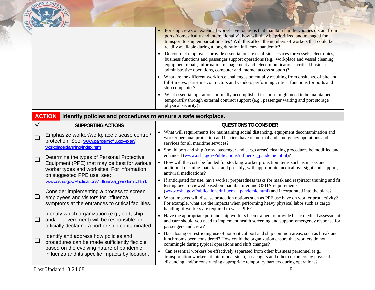|  | For ship crews on extended work/leave rotations that maintain families/homes distant from<br>ports (domestically and internationally), how will they be prioritized and managed for<br>transport to ship embarkation sites? Will this affect the numbers of workers that could be<br>readily available during a long duration influenza pandemic?                 |
|--|-------------------------------------------------------------------------------------------------------------------------------------------------------------------------------------------------------------------------------------------------------------------------------------------------------------------------------------------------------------------|
|  | Do contract employees provide essential onsite or offsite services for vessels, electronics,<br>$\bullet$<br>business functions and passenger support operations (e.g., workplace and vessel cleaning,<br>equipment repair, information management and telecommunications, critical business<br>administrative operations, computer and internet access support)? |
|  | What are the different workforce challenges potentially resulting from onsite vs. offsite and<br>full-time vs. part-time contractors and vendors performing critical functions for ports and<br>ship companies?                                                                                                                                                   |
|  | What essential operations normally accomplished in-house might need to be maintained<br>$\bullet$<br>temporarily through external contract support (e.g., passenger waiting and port storage<br>physical security)?                                                                                                                                               |

|        | <b>ACTION</b><br>Identify policies and procedures to ensure a safe workplace.                                                                     |                                                                                                                                                                                                                                                                                                                                         |  |  |
|--------|---------------------------------------------------------------------------------------------------------------------------------------------------|-----------------------------------------------------------------------------------------------------------------------------------------------------------------------------------------------------------------------------------------------------------------------------------------------------------------------------------------|--|--|
| ᄿ      | <b>SUPPORTING ACTIONS</b>                                                                                                                         | <b>QUESTIONS TO CONSIDER</b>                                                                                                                                                                                                                                                                                                            |  |  |
| $\Box$ | Emphasize worker/workplace disease control/<br>protection. See: www.pandemicflu.gov/plan/                                                         | What will requirements for maintaining social distancing, equipment decontamination and<br>worker personal protection and barriers have on normal and emergency operations and<br>services for all maritime services?                                                                                                                   |  |  |
|        | workplaceplanning/index.html.<br>Determine the types of Personal Protective                                                                       | Should port and ship (crew, passenger and cargo areas) cleaning procedures be modified and<br>$\bullet$<br>enhanced (www.osha.gov/Publications/influenza_pandemic.html)?                                                                                                                                                                |  |  |
| $\Box$ | Equipment (PPE) that may be best for various<br>worker types and worksites. For information<br>on suggested PPE use, see:                         | How will the costs be funded for stocking worker protection items such as masks and<br>$\bullet$<br>additional cleaning materials, and possibly, with appropriate medical oversight and support,<br>antiviral medications?                                                                                                              |  |  |
|        | www.osha.gov/Publications/influenza_pandemic.html.                                                                                                | If anticipated for use, have worker preparedness tasks for mask and respirator training and fit<br>$\bullet$<br>testing been reviewed based on manufacturer and OSHA requirements                                                                                                                                                       |  |  |
| $\Box$ | Consider implementing a process to screen<br>employees and visitors for influenza<br>symptoms at the entrances to critical facilities.            | (www.osha.gov/Publications/influenza pandemic.html) and incorporated into the plans?<br>What impacts will disease protection options such as PPE use have on worker productivity?<br>$\bullet$<br>For example, what are the impacts when performing heavy physical labor such as cargo<br>handling if workers are required to wear PPE? |  |  |
| $\Box$ | Identify which organization (e.g., port, ship,<br>and/or government) will be responsible for<br>officially declaring a port or ship contaminated. | Have the appropriate port and ship workers been trained to provide basic medical assessment<br>$\bullet$<br>and care should you need to implement health screening and support emergency response for<br>passengers and crew?                                                                                                           |  |  |
| $\Box$ | Identify and address how policies and<br>procedures can be made sufficiently flexible<br>based on the evolving nature of pandemic                 | Has closing or restricting use of non-critical port and ship common areas, such as break and<br>$\bullet$<br>lunchrooms been considered? How could the organization ensure that workers do not<br>commingle during typical operations and shift changes?                                                                                |  |  |
|        | influenza and its specific impacts by location.                                                                                                   | Can essential workers be effectively separated from other business personnel (e.g.,<br>$\bullet$<br>transportation workers at intermodal sites), passengers and other customers by physical<br>distancing and/or constructing appropriate temporary barriers during operations?                                                         |  |  |
|        | Last Updated: 3.24.08                                                                                                                             |                                                                                                                                                                                                                                                                                                                                         |  |  |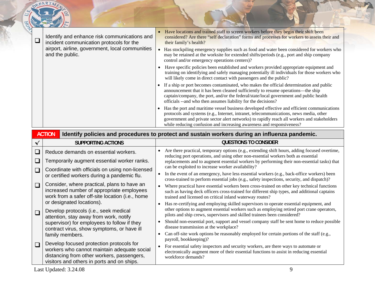|  | Identify and enhance risk communications and<br>incident communication protocols for the | Have locations and trained staff to screen workers before they begin their shift been<br>considered? Are there "self declaration" forms and processes for workers to assess their and<br>their family's health?                                                                                                                                              |
|--|------------------------------------------------------------------------------------------|--------------------------------------------------------------------------------------------------------------------------------------------------------------------------------------------------------------------------------------------------------------------------------------------------------------------------------------------------------------|
|  | airport, airline, government, local communities<br>and the public.                       | Has stockpiling emergency supplies such as food and water been considered for workers who<br>may be retained at the worksite for extended shifts/periods (e.g., port and ship company<br>control and/or emergency operations centers)?                                                                                                                       |
|  |                                                                                          | Have specific policies been established and workers provided appropriate equipment and<br>training on identifying and safely managing potentially ill individuals for those workers who<br>will likely come in direct contact with passengers and the public?                                                                                                |
|  |                                                                                          | If a ship or port becomes contaminated, who makes the official determination and public<br>announcement that it has been cleaned sufficiently to resume operations—the ship<br>captain/company, the port, and/or the federal/state/local government and public health<br>officials -- and who then assumes liability for the decisions?                      |
|  |                                                                                          | Has the port and maritime vessel business developed effective and efficient communications<br>protocols and systems (e.g., Internet, intranet, telecommunications, news media, other<br>government and private sector alert networks) to rapidly reach all workers and stakeholders<br>while reducing confusion and increasing awareness and responsiveness? |

| <b>ACTION</b><br>Identify policies and procedures to protect and sustain workers during an influenza pandemic. |                                                                                                                                                                                     |                                                                                                                                                                                                                                                                                                                                                     |  |  |
|----------------------------------------------------------------------------------------------------------------|-------------------------------------------------------------------------------------------------------------------------------------------------------------------------------------|-----------------------------------------------------------------------------------------------------------------------------------------------------------------------------------------------------------------------------------------------------------------------------------------------------------------------------------------------------|--|--|
|                                                                                                                | SUPPORTING ACTIONS                                                                                                                                                                  | <b>QUESTIONS TO CONSIDER</b>                                                                                                                                                                                                                                                                                                                        |  |  |
| ⊔<br>$\Box$                                                                                                    | Reduce demands on essential workers.<br>Temporarily augment essential worker ranks.<br>Coordinate with officials on using non-licensed                                              | Are there practical, temporary options (e.g., extending shift hours, adding focused overtime,<br>$\bullet$<br>reducing port operations, and using other non-essential workers both as essential<br>replacements and to augment essential workers by performing their non-essential tasks) that<br>can be exploited to increase worker availability? |  |  |
|                                                                                                                | or certified workers during a pandemic flu.                                                                                                                                         | In the event of an emergency, have less essential workers (e.g., back-office workers) been<br>cross-trained to perform essential jobs (e.g., safety inspections, security, and dispatch)?                                                                                                                                                           |  |  |
| $\Box$                                                                                                         | Consider, where practical, plans to have an<br>increased number of appropriate employees<br>work from a safer off-site location (i.e., home<br>or designated locations).            | Where practical have essential workers been cross-trained on other key technical functions<br>such as having deck officers cross-trained for different ship types, and additional captains<br>trained and licensed on critical inland waterway routes?                                                                                              |  |  |
| $\Box$                                                                                                         | Develop protocols (i.e., seek medical<br>attention, stay away from work, notify                                                                                                     | Has re-certifying and employing skilled supervisors to operate essential equipment, and<br>$\bullet$<br>other options to augment essential workers such as employing retired port crane operators,<br>pilots and ship crews, supervisors and skilled trainees been considered?                                                                      |  |  |
|                                                                                                                | supervisor) for employees to follow if they<br>contract virus, show symptoms, or have ill                                                                                           | Should non-essential port, support and vessel company staff be sent home to reduce possible<br>$\bullet$<br>disease transmission at the workplace?                                                                                                                                                                                                  |  |  |
|                                                                                                                | family members.                                                                                                                                                                     | Can off-site work options be reasonably employed for certain portions of the staff (e.g.,<br>payroll, bookkeeping)?                                                                                                                                                                                                                                 |  |  |
| $\Box$                                                                                                         | Develop focused protection protocols for<br>workers who cannot maintain adequate social<br>distancing from other workers, passengers,<br>visitors and others in ports and on ships. | For essential safety inspectors and security workers, are there ways to automate or<br>$\bullet$<br>electronically augment more of their essential functions to assist in reducing essential<br>workforce demands?                                                                                                                                  |  |  |

Last Updated: 3.24.08 9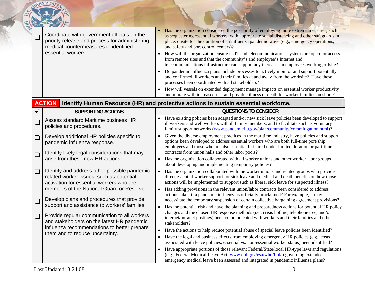|              | DEPARTA                                                                                                                                                                            |                                                                                                                                                                                                                                                                                                                                                                                                                                                                                                                                                                                                                                                                                                                                                                                                                                                                                                                                                                                                                                                        |
|--------------|------------------------------------------------------------------------------------------------------------------------------------------------------------------------------------|--------------------------------------------------------------------------------------------------------------------------------------------------------------------------------------------------------------------------------------------------------------------------------------------------------------------------------------------------------------------------------------------------------------------------------------------------------------------------------------------------------------------------------------------------------------------------------------------------------------------------------------------------------------------------------------------------------------------------------------------------------------------------------------------------------------------------------------------------------------------------------------------------------------------------------------------------------------------------------------------------------------------------------------------------------|
| $\Box$       | Coordinate with government officials on the<br>priority release and process for administering<br>medical countermeasures to identified<br>essential workers.                       | Has the organization considered the possibility of employing more extreme measures, such<br>as sequestering essential workers, with appropriate social distancing and other safeguards in<br>place, onsite for the duration of an influenza pandemic wave (e.g., emergency operations,<br>and safety and port control centers)?<br>How will the organization ensure its IT and telecommunications systems are open for access<br>from remote sites and that the community's and employee's Internet and<br>telecommunications infrastructure can support any increases in employees working offsite?<br>Do pandemic influenza plans include processes to actively monitor and support potentially<br>$\bullet$<br>and confirmed ill workers and their families at and away from the worksite? Have these<br>processes been coordinated with all stakeholders?<br>How will vessels on extended deployment manage impacts on essential worker productivity<br>and morale with increased risk and possible illness or death for worker families on shore? |
|              | <b>ACTION</b>                                                                                                                                                                      | Identify Human Resource (HR) and protective actions to sustain essential workforce.                                                                                                                                                                                                                                                                                                                                                                                                                                                                                                                                                                                                                                                                                                                                                                                                                                                                                                                                                                    |
| $\checkmark$ | <b>SUPPORTING ACTIONS</b>                                                                                                                                                          | <b>QUESTIONS TO CONSIDER</b>                                                                                                                                                                                                                                                                                                                                                                                                                                                                                                                                                                                                                                                                                                                                                                                                                                                                                                                                                                                                                           |
| $\Box$       | Assess standard Maritime business HR<br>policies and procedures.                                                                                                                   | Have existing policies been adapted and/or new sick leave policies been developed to support<br>ill workers and well workers with ill family members, and to facilitate such as voluntary<br>family support networks (www.pandemicflu.gov/plan/community/commitigation.html)?                                                                                                                                                                                                                                                                                                                                                                                                                                                                                                                                                                                                                                                                                                                                                                          |
| $\Box$       | Develop additional HR policies specific to<br>pandemic influenza response.                                                                                                         | Given the diverse employment practices in the maritime industry, have policies and support<br>options been developed to address essential workers who are both full-time port/ship<br>employees and those who are also essential but hired under limited duration or part-time                                                                                                                                                                                                                                                                                                                                                                                                                                                                                                                                                                                                                                                                                                                                                                         |
| $\square$    | Identify likely legal considerations that may<br>arise from these new HR actions.                                                                                                  | contracts from union halls and other labor pools?<br>Has the organization collaborated with all worker unions and other worker labor groups<br>about developing and implementing temporary policies?                                                                                                                                                                                                                                                                                                                                                                                                                                                                                                                                                                                                                                                                                                                                                                                                                                                   |
| $\Box$       | Identify and address other possible pandemic-<br>related worker issues, such as potential<br>activation for essential workers who are<br>members of the National Guard or Reserve. | • Has the organization collaborated with the worker unions and related groups who provide<br>direct essential worker support for sick leave and medical and death benefits on how those<br>actions will be implemented to support such as liberal sick leave for suspected illness?<br>Has adding provisions in the relevant union/labor contracts been considered to address<br>$\bullet$                                                                                                                                                                                                                                                                                                                                                                                                                                                                                                                                                                                                                                                             |
| $\Box$       | Develop plans and procedures that provide<br>support and assistance to workers' families.                                                                                          | actions taken if a pandemic influenza is officially proclaimed? For example, it may<br>necessitate the temporary suspension of certain collective bargaining agreement provisions?<br>Has the potential risk and have the planning and preparedness actions for potential HR policy                                                                                                                                                                                                                                                                                                                                                                                                                                                                                                                                                                                                                                                                                                                                                                    |
| $\Box$       | Provide regular communication to all workers<br>and stakeholders on the latest HR pandemic<br>influenza recommendations to better prepare<br>them and to reduce uncertainty.       | changes and the chosen HR response methods (i.e., crisis hotline, telephone tree, and/or<br>internet/intranet postings) been communicated with workers and their families and other<br>stakeholders?<br>Have the actions to help reduce potential abuse of special leave policies been identified?<br>$\bullet$<br>Have the legal and business effects from employing emergency HR policies (e.g., costs<br>$\bullet$<br>associated with leave policies, essential vs. non-essential worker status) been identified?<br>Have appropriate portions of those relevant Federal/State/local HR-type laws and regulations<br>$\bullet$<br>(e.g., Federal Medical Leave Act, www.dol.gov/esa/whd/fmla) governing extended<br>emergency medical leave been assessed and integrated in pandemic influenza plans?                                                                                                                                                                                                                                               |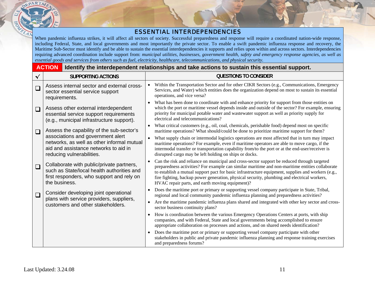#### ESSENTIAL INTERDEPENDENCIES

When pandemic influenza strikes, it will affect all sectors of society. Successful preparedness and response will require a coordinated nation-wide response, including Federal, State, and local governments and most importantly the private sector. To enable a swift pandemic influenza response and recovery, the Maritime Sub-Sector must identify and be able to sustain the essential interdependencies it supports and relies upon within and across sectors. Interdependencies requiring advanced coordination include support from: *municipal utilities, businesses, government health, safety and emergency response agencies, as well as essential goods and services from others such as fuel, electricity, healthcare, telecommunications, and physical security.*

#### **ACTIONIdentify the interdependent relationships and take actions to sustain this essential support.**

| $\checkmark$ | <b>SUPPORTING ACTIONS</b>                                                                                                                             | <b>QUESTIONS TO CONSIDER</b>                                                                                                                                                                                                                                                                                                                                                                                                                                        |
|--------------|-------------------------------------------------------------------------------------------------------------------------------------------------------|---------------------------------------------------------------------------------------------------------------------------------------------------------------------------------------------------------------------------------------------------------------------------------------------------------------------------------------------------------------------------------------------------------------------------------------------------------------------|
| $\Box$       | Assess internal sector and external cross-<br>sector essential service support<br>requirements.                                                       | Within the Transportation Sector and for other CIKR Sectors (e.g., Communications, Emergency<br>Services, and Water) which entities does the organization depend on most to sustain its essential<br>operations, and vice versa?                                                                                                                                                                                                                                    |
| $\Box$       | Assess other external interdependent<br>essential service support requirements<br>(e.g., municipal infrastructure support).                           | What has been done to coordinate with and enhance priority for support from those entities on<br>which the port or maritime vessel depends inside and outside of the sector? For example, ensuring<br>priority for municipal potable water and wastewater support as well as priority supply for<br>electrical and telecommunications?                                                                                                                              |
| $\Box$       | Assess the capability of the sub-sector's                                                                                                             | What critical customers (e.g., oil, coal, chemicals, perishable food) depend most on specific<br>maritime operations? What should/could be done to prioritize maritime support for them?                                                                                                                                                                                                                                                                            |
|              | associations and government alert<br>networks, as well as other informal mutual<br>aid and assistance networks to aid in<br>reducing vulnerabilities. | What supply chain or intermodal logistics operations are most affected that in turn may impact<br>$\bullet$<br>maritime operations? For example, even if maritime operators are able to move cargo, if the<br>intermodal transfer or transportation capability from/to the port or at the end-user/receiver is<br>disrupted cargo may be left holding on ships or docks.                                                                                            |
| $\Box$       | Collaborate with public/private partners,<br>such as State/local health authorities and<br>first responders, who support and rely on<br>the business. | Can the risk and reliance on municipal and cross-sector support be reduced through targeted<br>$\bullet$<br>preparedness activities? For example can similar maritime and non-maritime entities collaborate<br>to establish a mutual support pact for basic infrastructure equipment, supplies and workers (e.g.,<br>fire fighting, backup power generation, physical security, plumbing and electrical workers,<br>HVAC repair parts, and earth moving equipment)? |
| $\Box$       | Consider developing joint operational                                                                                                                 | Does the maritime port or primary or supporting vessel company participate in State, Tribal,<br>regional and local community pandemic influenza planning and preparedness activities?                                                                                                                                                                                                                                                                               |
|              | plans with service providers, suppliers,<br>customers and other stakeholders.                                                                         | Are the maritime pandemic influenza plans shared and integrated with other key sector and cross-<br>$\bullet$<br>sector business continuity plans?                                                                                                                                                                                                                                                                                                                  |
|              |                                                                                                                                                       | How is coordination between the various Emergency Operations Centers at ports, with ship<br>companies, and with Federal, State and local governments being accomplished to ensure<br>appropriate collaboration on processes and actions, and on shared needs identification?                                                                                                                                                                                        |
|              |                                                                                                                                                       | Does the maritime port or primary or supporting vessel company participate with other<br>stakeholders in public and private pandemic influenza planning and response training exercises<br>and preparedness forums?                                                                                                                                                                                                                                                 |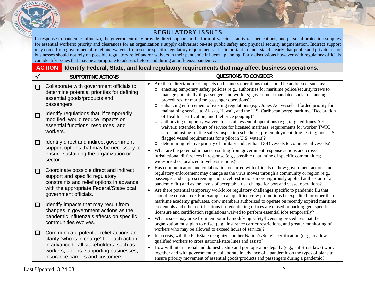#### REGULATORY ISSUES

In response to pandemic influenza, the government may provide direct support in the form of vaccines, antiviral medications, and personal protection supplies for essential workers; priority and clearances for an organization's supply deliveries; on-site public safety and physical security augmentation. Indirect support may come from governmental relief and waivers from sector-specific regulatory requirements. It is important to understand clearly that public and private sector businesses should not rely on possible regulatory relief and/or waivers in their pandemic influenza planning. Early discussions however with regulatory officials can identify issues that may be appropriate to address before and during an influenza pandemic.

|              | <b>ACTION</b><br>Identify Federal, State, and local regulatory requirements that may affect business operations.                                                                                                  |                                                                                                                                                                                                                                                                                                                                                                                                                                                                                                                                                                                                                                                                                                                                                                                                                                                                                                                                                                                                                                                                                                                                                                                                                                                                                                                                                    |  |
|--------------|-------------------------------------------------------------------------------------------------------------------------------------------------------------------------------------------------------------------|----------------------------------------------------------------------------------------------------------------------------------------------------------------------------------------------------------------------------------------------------------------------------------------------------------------------------------------------------------------------------------------------------------------------------------------------------------------------------------------------------------------------------------------------------------------------------------------------------------------------------------------------------------------------------------------------------------------------------------------------------------------------------------------------------------------------------------------------------------------------------------------------------------------------------------------------------------------------------------------------------------------------------------------------------------------------------------------------------------------------------------------------------------------------------------------------------------------------------------------------------------------------------------------------------------------------------------------------------|--|
| $\checkmark$ | <b>SUPPORTING ACTIONS</b>                                                                                                                                                                                         | <b>QUESTIONS TO CONSIDER</b>                                                                                                                                                                                                                                                                                                                                                                                                                                                                                                                                                                                                                                                                                                                                                                                                                                                                                                                                                                                                                                                                                                                                                                                                                                                                                                                       |  |
| $\Box$       | Collaborate with government officials to<br>determine potential priorities for defining<br>essential goods/products and<br>passengers.                                                                            | Are there direct/indirect impacts on business operations that should be addressed, such as:<br>$\bullet$<br>enacting temporary safety policies (e.g., authorities for maritime police/security/crews to<br>$\circ$<br>manage potentially ill passengers and workers; government mandated social distancing<br>procedures for maritime passenger operations)?<br>enhancing enforcement of existing regulations (e.g., Jones Act vessels afforded priority for<br>$\circ$<br>maintaining service to Alaska, Hawaii, and the U.S. Caribbean ports; maritime "Declaration<br>of Health" certification; and fuel price gouging)?<br>authorizing temporary waivers to sustain essential operations (e.g., targeted Jones Act<br>$\circ$<br>waivers; extended hours of service for licensed mariners; requirements for worker TWIC<br>cards; adjusting routine safety inspection schedules; pre-employment drug testing; non-U.S.<br>flagged vessel requirements for a pilot in U.S. waters)?<br>determining relative priority of military and civilian DoD vessels to commercial vessels?<br>$\circ$<br>What are the potential impacts resulting from government response actions and cross-<br>$\bullet$<br>jurisdictional differences in response (e.g., possible quarantine of specific communities;<br>widespread or localized travel restrictions)? |  |
| $\Box$       | Identify regulations that, if temporarily<br>modified, would reduce impacts on<br>essential functions, resources, and<br>workers.                                                                                 |                                                                                                                                                                                                                                                                                                                                                                                                                                                                                                                                                                                                                                                                                                                                                                                                                                                                                                                                                                                                                                                                                                                                                                                                                                                                                                                                                    |  |
| $\Box$       | Identify direct and indirect government<br>support options that may be necessary to<br>ensure sustaining the organization or<br>sector.                                                                           |                                                                                                                                                                                                                                                                                                                                                                                                                                                                                                                                                                                                                                                                                                                                                                                                                                                                                                                                                                                                                                                                                                                                                                                                                                                                                                                                                    |  |
| $\Box$       | Coordinate possible direct and indirect<br>support and specific regulatory<br>constraints and relief options in advance<br>with the appropriate Federal/State/local<br>government officials.                      | Has communication and collaboration occurred with officials on how government actions and<br>$\bullet$<br>regulatory enforcement may change as the virus moves through a community or region (e.g.,<br>passenger and cargo screening and travel restrictions more vigorously applied at the start of a<br>pandemic flu) and as the levels of acceptable risk change for port and vessel operations?<br>Are there potential temporary workforce regulatory challenges specific to pandemic flu that<br>$\bullet$<br>should be considered? For example, can qualified crew promotions be expedited for other than                                                                                                                                                                                                                                                                                                                                                                                                                                                                                                                                                                                                                                                                                                                                    |  |
| $\Box$       | Identify impacts that may result from<br>changes in government actions as the<br>pandemic influenza's affects on specific<br>communities evolves.                                                                 | maritime academy graduates, crew members authorized to operate on recently expired maritime<br>credentials and other certifications if credentialing offices are closed or backlogged; specific<br>licensure and certification regulations waived to perform essential jobs temporarily?<br>What issues may arise from temporarily modifying safety/licensing procedures that the<br>$\bullet$<br>organization must plan to offset (e.g., insurance carrier restrictions, and greater monitoring of<br>workers who may be allowed to exceed hours of service)?                                                                                                                                                                                                                                                                                                                                                                                                                                                                                                                                                                                                                                                                                                                                                                                     |  |
| $\Box$       | Communicate potential relief actions and<br>clarify "who is in charge" for each action<br>in advance to all stakeholders, such as<br>workers, unions, supporting businesses,<br>insurance carriers and customers. | In a crisis, will the Fed/State recognize another Nation's/State's certification (e.g., to allow<br>$\bullet$<br>qualified workers to cross national/state lines and assist)?<br>How will international and domestic ship and port operators legally (e.g., anti-trust laws) work<br>$\bullet$<br>together and with government to collaborate in advance of a pandemic on the types of plans to<br>ensure priority movement of essential goods/products and passengers during a pandemic?                                                                                                                                                                                                                                                                                                                                                                                                                                                                                                                                                                                                                                                                                                                                                                                                                                                          |  |